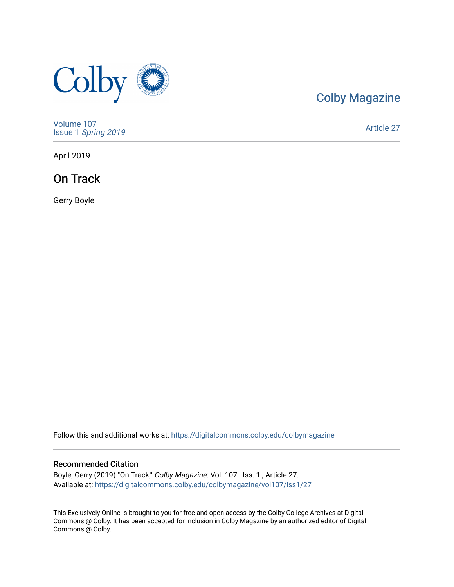

### [Colby Magazine](https://digitalcommons.colby.edu/colbymagazine)

[Volume 107](https://digitalcommons.colby.edu/colbymagazine/vol107) Issue 1 [Spring 2019](https://digitalcommons.colby.edu/colbymagazine/vol107/iss1) 

[Article 27](https://digitalcommons.colby.edu/colbymagazine/vol107/iss1/27) 

April 2019

On Track

Gerry Boyle

Follow this and additional works at: [https://digitalcommons.colby.edu/colbymagazine](https://digitalcommons.colby.edu/colbymagazine?utm_source=digitalcommons.colby.edu%2Fcolbymagazine%2Fvol107%2Fiss1%2F27&utm_medium=PDF&utm_campaign=PDFCoverPages)

#### Recommended Citation

Boyle, Gerry (2019) "On Track," Colby Magazine: Vol. 107 : Iss. 1, Article 27. Available at: [https://digitalcommons.colby.edu/colbymagazine/vol107/iss1/27](https://digitalcommons.colby.edu/colbymagazine/vol107/iss1/27?utm_source=digitalcommons.colby.edu%2Fcolbymagazine%2Fvol107%2Fiss1%2F27&utm_medium=PDF&utm_campaign=PDFCoverPages)

This Exclusively Online is brought to you for free and open access by the Colby College Archives at Digital Commons @ Colby. It has been accepted for inclusion in Colby Magazine by an authorized editor of Digital Commons @ Colby.